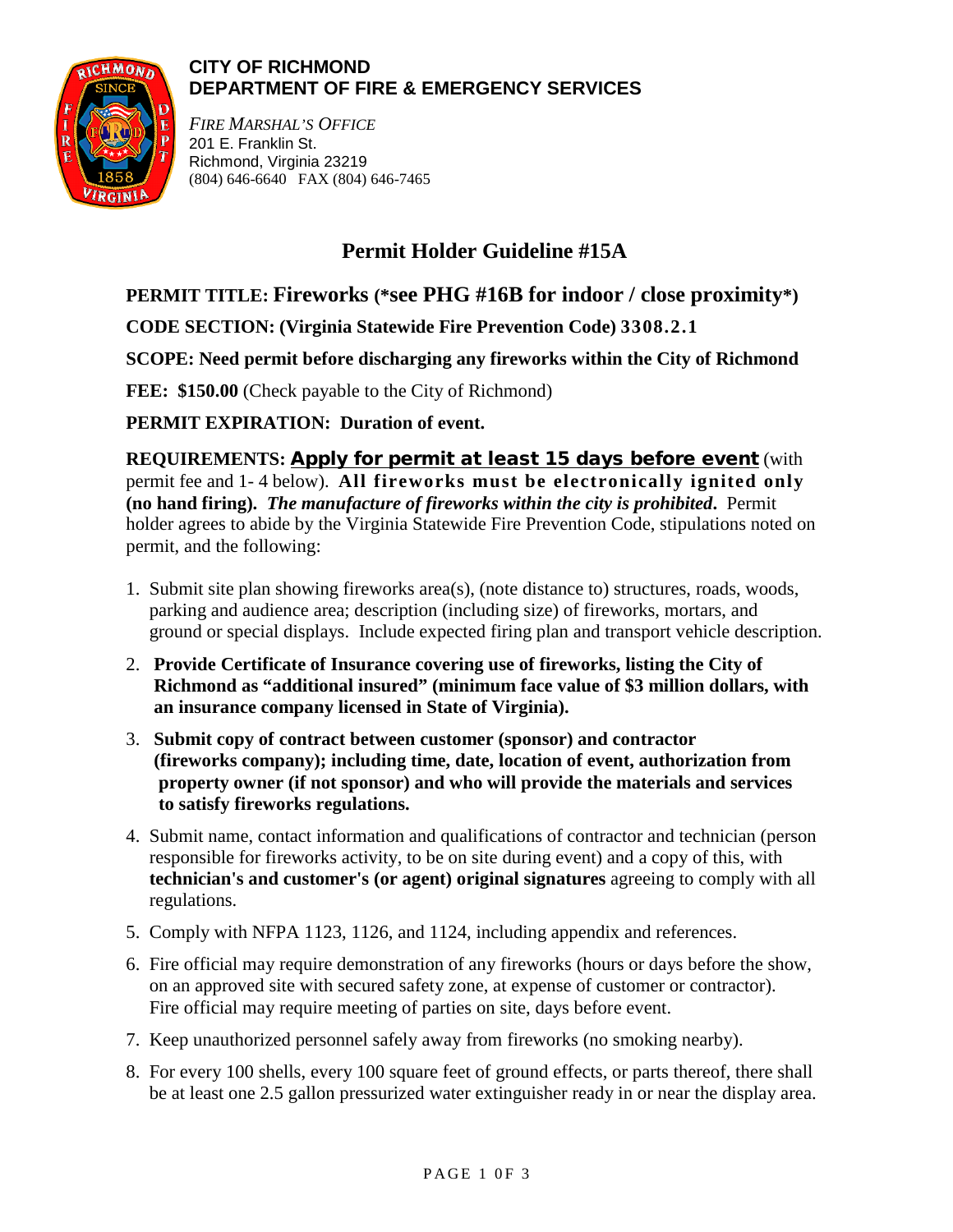

### **CITY OF RICHMOND DEPARTMENT OF FIRE & EMERGENCY SERVICES**

*FIRE MARSHAL'S OFFICE* 201 E. Franklin St. Richmond, Virginia 23219 (804) 646-6640 FAX (804) 646-7465

# **Permit Holder Guideline #15A**

**PERMIT TITLE: Fireworks (\*see PHG #16B for indoor / close proximity\*)**

**CODE SECTION: (Virginia Statewide Fire Prevention Code) 3308.2.1**

**SCOPE: Need permit before discharging any fireworks within the City of Richmond**

FEE: \$150.00 (Check payable to the City of Richmond)

**PERMIT EXPIRATION: Duration of event.**

**REQUIREMENTS:** Apply for permit at least 15 days before event (with permit fee and 1- 4 below). **All fireworks must be electronically ignited only (no hand firing).** *The manufacture of fireworks within the city is prohibited***.** Permit holder agrees to abide by the Virginia Statewide Fire Prevention Code, stipulations noted on permit, and the following:

- 1. Submit site plan showing fireworks area(s), (note distance to) structures, roads, woods, parking and audience area; description (including size) of fireworks, mortars, and ground or special displays. Include expected firing plan and transport vehicle description.
- 2. **Provide Certificate of Insurance covering use of fireworks, listing the City of Richmond as "additional insured" (minimum face value of \$3 million dollars, with an insurance company licensed in State of Virginia).**
- 3. **Submit copy of contract between customer (sponsor) and contractor (fireworks company); including time, date, location of event, authorization from property owner (if not sponsor) and who will provide the materials and services to satisfy fireworks regulations.**
- 4. Submit name, contact information and qualifications of contractor and technician (person responsible for fireworks activity, to be on site during event) and a copy of this, with **technician's and customer's (or agent) original signatures** agreeing to comply with all regulations.
- 5. Comply with NFPA 1123, 1126, and 1124, including appendix and references.
- 6. Fire official may require demonstration of any fireworks (hours or days before the show, on an approved site with secured safety zone, at expense of customer or contractor). Fire official may require meeting of parties on site, days before event.
- 7. Keep unauthorized personnel safely away from fireworks (no smoking nearby).
- 8. For every 100 shells, every 100 square feet of ground effects, or parts thereof, there shall be at least one 2.5 gallon pressurized water extinguisher ready in or near the display area.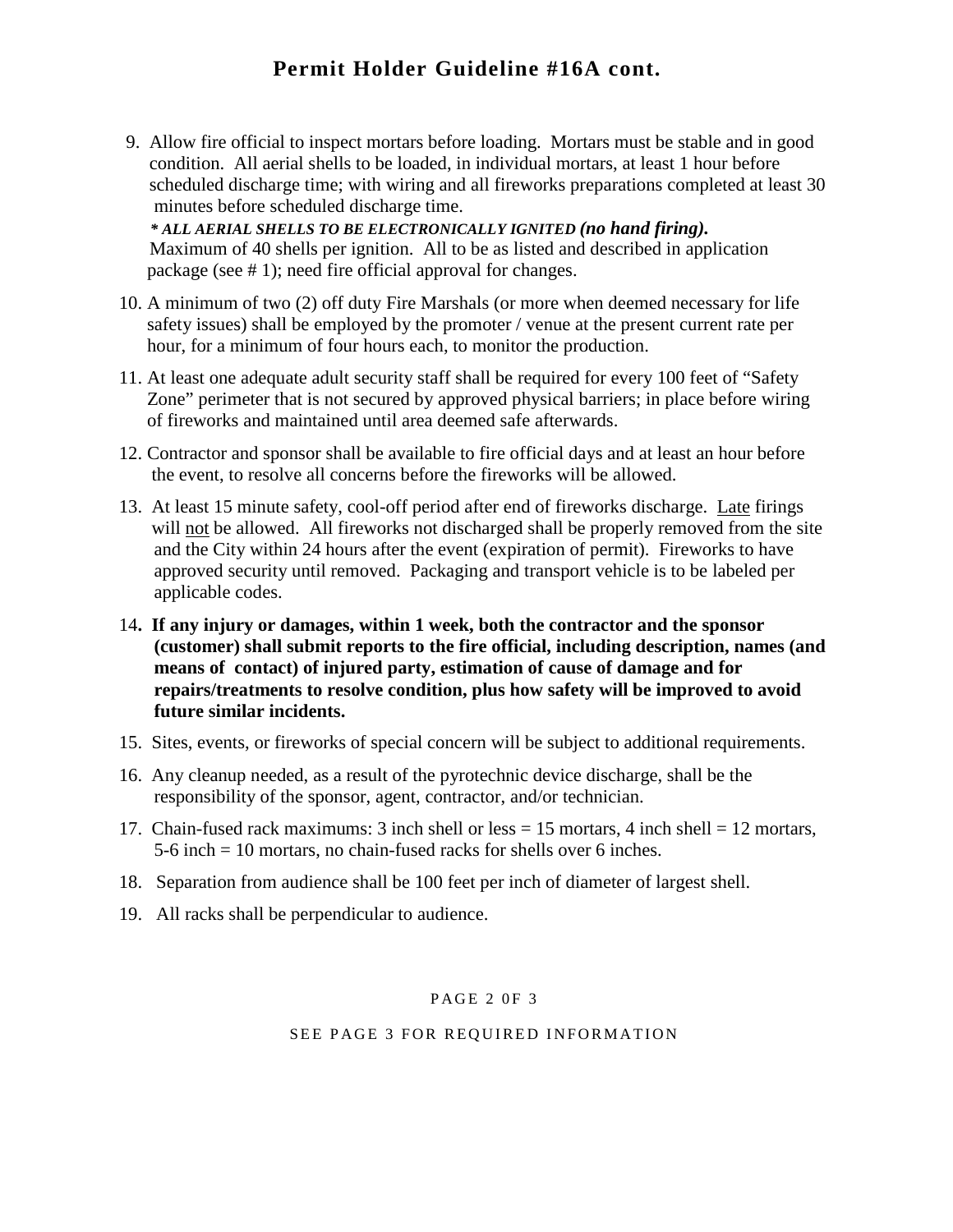## **Permit Holder Guideline #16A cont.**

9. Allow fire official to inspect mortars before loading. Mortars must be stable and in good condition. All aerial shells to be loaded, in individual mortars, at least 1 hour before scheduled discharge time; with wiring and all fireworks preparations completed at least 30 minutes before scheduled discharge time.

 *\* ALL AERIAL SHELLS TO BE ELECTRONICALLY IGNITED (no hand firing).* Maximum of 40 shells per ignition. All to be as listed and described in application package (see # 1); need fire official approval for changes.

- 10. A minimum of two (2) off duty Fire Marshals (or more when deemed necessary for life safety issues) shall be employed by the promoter / venue at the present current rate per hour, for a minimum of four hours each, to monitor the production.
- 11. At least one adequate adult security staff shall be required for every 100 feet of "Safety Zone" perimeter that is not secured by approved physical barriers; in place before wiring of fireworks and maintained until area deemed safe afterwards.
- 12. Contractor and sponsor shall be available to fire official days and at least an hour before the event, to resolve all concerns before the fireworks will be allowed.
- 13. At least 15 minute safety, cool-off period after end of fireworks discharge. Late firings will not be allowed. All fireworks not discharged shall be properly removed from the site and the City within 24 hours after the event (expiration of permit). Fireworks to have approved security until removed. Packaging and transport vehicle is to be labeled per applicable codes.
- 14**. If any injury or damages, within 1 week, both the contractor and the sponsor (customer) shall submit reports to the fire official, including description, names (and means of contact) of injured party, estimation of cause of damage and for repairs/treatments to resolve condition, plus how safety will be improved to avoid future similar incidents.**
- 15. Sites, events, or fireworks of special concern will be subject to additional requirements.
- 16. Any cleanup needed, as a result of the pyrotechnic device discharge, shall be the responsibility of the sponsor, agent, contractor, and/or technician.
- 17. Chain-fused rack maximums: 3 inch shell or less = 15 mortars, 4 inch shell = 12 mortars, 5-6 inch = 10 mortars, no chain-fused racks for shells over 6 inches.
- 18. Separation from audience shall be 100 feet per inch of diameter of largest shell.
- 19. All racks shall be perpendicular to audience.

#### PAGE 2 0F 3

#### SEE PAGE 3 FOR REQUIRED INFORMATION